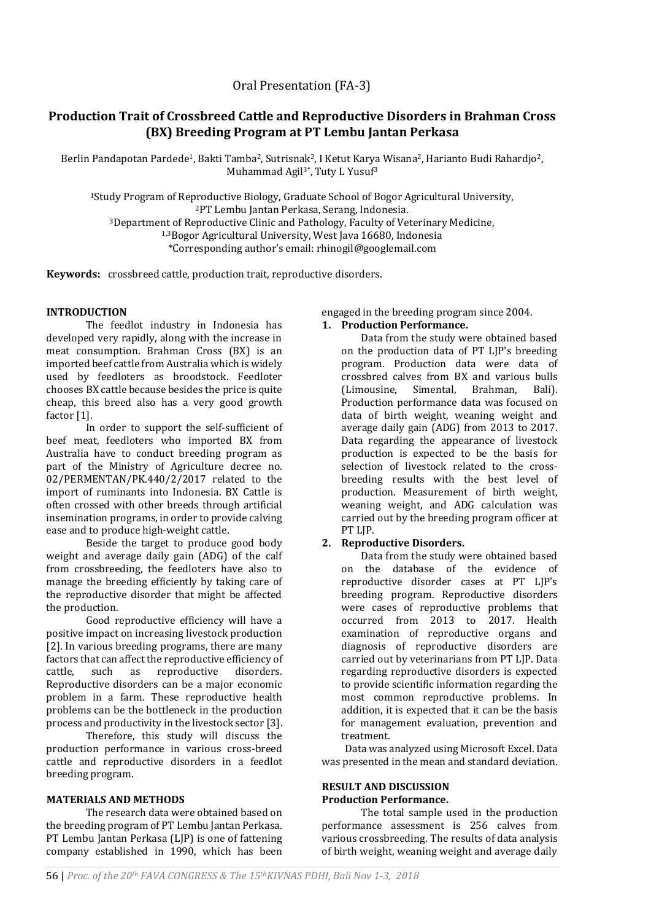**Keywords:** crossbreed cattle, production trait, reproductive disorders.

## **INTRODUCTION**

The feedlot industry in Indonesia has developed very rapidly, along with the increase in meat consumption. Brahman Cross (BX) is an imported beef cattle from Australia which is widely used by feedloters as broodstock. Feedloter chooses BX cattle because besides the price is quite cheap, this breed also has a very good growth factor [1].

In order to support the self-sufficient of beef meat, feedloters who imported BX from Australia have to conduct breeding program as part of the Ministry of Agriculture decree no. 02/PERMENTAN/PK.440/2/2017 related to the import of ruminants into Indonesia. BX Cattle is often crossed with other breeds through artificial insemination programs, in order to provide calving ease and to produce high-weight cattle.

Beside the target to produce good body weight and average daily gain (ADG) of the calf from crossbreeding, the feedloters have also to manage the breeding efficiently by taking care of the reproductive disorder that might be affected the production.

Good reproductive efficiency will have a positive impact on increasing livestock production [2]. In various breeding programs, there are many factors that can affect the reproductive efficiency of cattle, such as reproductive disorders. Reproductive disorders can be a major economic problem in a farm. These reproductive health problems can be the bottleneck in the production process and productivity in the livestock sector [3].

Therefore, this study will discuss the production performance in various cross-breed cattle and reproductive disorders in a feedlot breeding program.

### **MATERIALS AND METHODS**

The research data were obtained based on the breeding program of PT Lembu Jantan Perkasa. PT Lembu Jantan Perkasa (LJP) is one of fattening company established in 1990, which has been engaged in the breeding program since 2004. **1. Production Performance.** 

Data from the study were obtained based on the production data of PT LJP's breeding program. Production data were data of crossbred calves from BX and various bulls (Limousine, Simental, Brahman, Bali). Production performance data was focused on data of birth weight, weaning weight and average daily gain (ADG) from 2013 to 2017. Data regarding the appearance of livestock production is expected to be the basis for selection of livestock related to the crossbreeding results with the best level of production. Measurement of birth weight, weaning weight, and ADG calculation was carried out by the breeding program officer at PT LJP.

## **2. Reproductive Disorders.**

Data from the study were obtained based on the database of the evidence of reproductive disorder cases at PT LJP's breeding program. Reproductive disorders were cases of reproductive problems that occurred from 2013 to 2017. Health examination of reproductive organs and diagnosis of reproductive disorders are carried out by veterinarians from PT LJP. Data regarding reproductive disorders is expected to provide scientific information regarding the most common reproductive problems. In addition, it is expected that it can be the basis for management evaluation, prevention and treatment.

Data was analyzed using Microsoft Excel. Data was presented in the mean and standard deviation.

## **RESULT AND DISCUSSION Production Performance.**

The total sample used in the production performance assessment is 256 calves from various crossbreeding. The results of data analysis of birth weight, weaning weight and average daily

# **Production Trait of Crossbreed Cattle and Reproductive Disorders in Brahman Cross (BX) Breeding Program at PT Lembu Jantan Perkasa**

Berlin Pandapotan Pardede<sup>1</sup>, Bakti Tamba<sup>2</sup>, Sutrisnak<sup>2</sup>, I Ketut Karya Wisana<sup>2</sup>, Harianto Budi Rahardjo<sup>2</sup>, Muhammad Agil<sup>3\*</sup>, Tuty L Yusuf<sup>3</sup>

Study Program of Reproductive Biology, Graduate School of Bogor Agricultural University, PT Lembu Jantan Perkasa, Serang, Indonesia. Department of Reproductive Clinic and Pathology, Faculty of Veterinary Medicine, 1,3Bogor Agricultural University, West Java 16680, Indonesia

\*Corresponding author's email: rhinogil@googlemail.com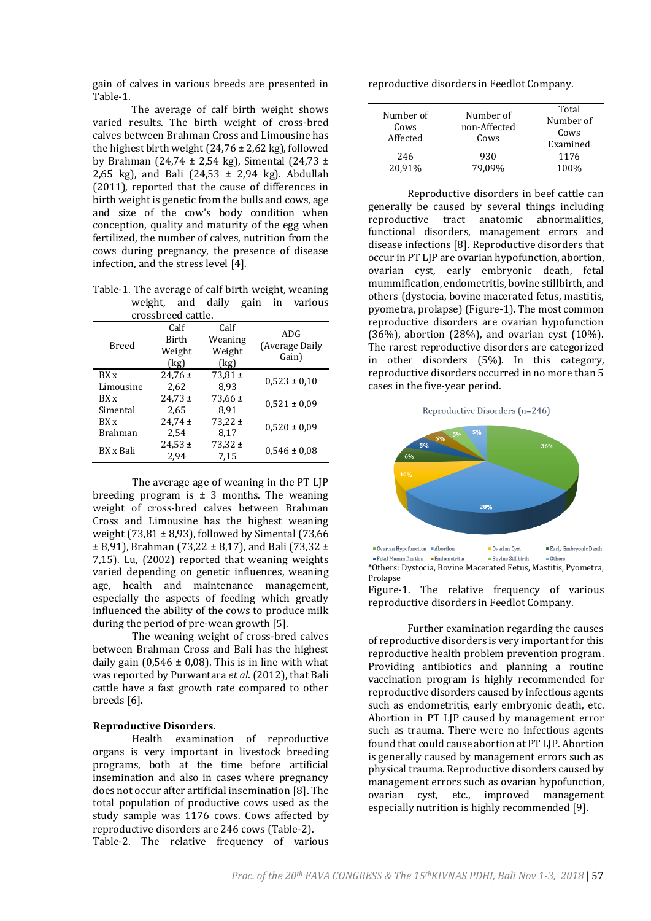gain of calves in various breeds are presented in Table-1.

The average of calf birth weight shows varied results. The birth weight of cross-bred calves between Brahman Cross and Limousine has the highest birth weight  $(24,76 \pm 2,62 \text{ kg})$ , followed by Brahman (24,74 ± 2,54 kg), Simental (24,73 ± 2,65 kg), and Bali  $(24,53 \pm 2,94 \text{ kg})$ . Abdullah (2011), reported that the cause of differences in birth weight is genetic from the bulls and cows, age and size of the cow's body condition when conception, quality and maturity of the egg when fertilized, the number of calves, nutrition from the cows during pregnancy, the presence of disease infection, and the stress level [4].

Table-1. The average of calf birth weight, weaning weight, and daily gain in various crossbreed cattle.

| u ussui ccu cattic. |                                        |                                   |                                |  |
|---------------------|----------------------------------------|-----------------------------------|--------------------------------|--|
| Breed               | Calf<br><b>Birth</b><br>Weight<br>(kg) | Calf<br>Weaning<br>Weight<br>(kg) | ADG<br>(Average Daily<br>Gain) |  |
| BX x                | $24.76 \pm$                            | 73,81 $\pm$                       | $0,523 \pm 0,10$               |  |
| Limousine           | 2.62                                   | 8.93                              |                                |  |
| RX <sub>x</sub>     | $24,73 \pm$                            | 73,66 $\pm$                       | $0,521 \pm 0.09$               |  |
| Simental            | 2.65                                   | 8.91                              |                                |  |
| RX <sub>x</sub>     | $24,74 \pm$                            | $73,22 \pm$                       | $0,520 \pm 0.09$               |  |
| <b>Brahman</b>      | 2.54                                   | 8.17                              |                                |  |
| BX x Bali           | $24,53 \pm$<br>2,94                    | $73,32 \pm$<br>7,15               | $0,546 \pm 0.08$               |  |

The average age of weaning in the PT LJP breeding program is  $\pm$  3 months. The weaning weight of cross-bred calves between Brahman Cross and Limousine has the highest weaning weight (73,81  $\pm$  8,93), followed by Simental (73,66)  $\pm$  8,91), Brahman (73,22  $\pm$  8,17), and Bali (73,32  $\pm$ 7,15). Lu, (2002) reported that weaning weights varied depending on genetic influences, weaning age, health and maintenance management, especially the aspects of feeding which greatly influenced the ability of the cows to produce milk during the period of pre-wean growth [5].

The weaning weight of cross-bred calves between Brahman Cross and Bali has the highest daily gain (0,546  $\pm$  0,08). This is in line with what was reported by Purwantara *et al*. (2012), that Bali cattle have a fast growth rate compared to other breeds [6].

## **Reproductive Disorders.**

Health examination of reproductive organs is very important in livestock breeding programs, both at the time before artificial insemination and also in cases where pregnancy does not occur after artificial insemination [8]. The total population of productive cows used as the study sample was 1176 cows. Cows affected by reproductive disorders are 246 cows (Table-2). Table-2. The relative frequency of various

reproductive disorders in Feedlot Company.

| Number of<br>Cows<br>Affected | Number of<br>non-Affected<br>Cows | Total<br>Number of<br>Cows<br>Examined |
|-------------------------------|-----------------------------------|----------------------------------------|
| 246                           | 930                               | 1176                                   |
| 20.91%                        |                                   | 100%                                   |

Reproductive disorders in beef cattle can generally be caused by several things including reproductive tract anatomic abnormalities, functional disorders, management errors and disease infections [8]. Reproductive disorders that occur in PT LJP are ovarian hypofunction, abortion, ovarian cyst, early embryonic death, fetal mummification, endometritis, bovine stillbirth, and others (dystocia, bovine macerated fetus, mastitis, pyometra, prolapse) (Figure-1). The most common reproductive disorders are ovarian hypofunction (36%), abortion (28%), and ovarian cyst  $(10\%)$ . The rarest reproductive disorders are categorized in other disorders (5%). In this category, reproductive disorders occurred in no more than 5 cases in the five-year period.

Reproductive Disorders (n=246)



Fetal Mummification Fudemetritis Rovine Stillbirth  $n$ \*Others: Dystocia, Bovine Macerated Fetus, Mastitis, Pyometra, Prolanse

Figure-1. The relative frequency of various reproductive disorders in Feedlot Company.

Further examination regarding the causes of reproductive disorders is very important for this reproductive health problem prevention program. Providing antibiotics and planning a routine vaccination program is highly recommended for reproductive disorders caused by infectious agents such as endometritis, early embryonic death, etc. Abortion in PT LJP caused by management error such as trauma. There were no infectious agents found that could cause abortion at PT LJP. Abortion is generally caused by management errors such as physical trauma. Reproductive disorders caused by management errors such as ovarian hypofunction, ovarian cyst, etc., improved management especially nutrition is highly recommended [9].